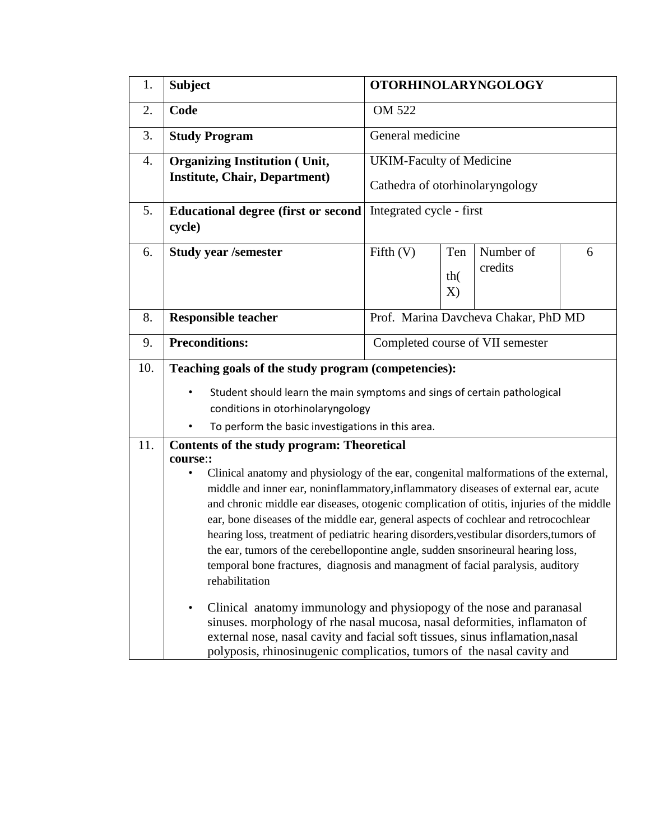| 1.  | <b>Subject</b>                                                                                                                                                                                                                                                                                                                                                                                                                                                                                                                                                                                                                                                                                                                                                                                                                                                                                                                                                                                                                                                                                              | <b>OTORHINOLARYNGOLOGY</b>                                         |                  |                      |   |  |
|-----|-------------------------------------------------------------------------------------------------------------------------------------------------------------------------------------------------------------------------------------------------------------------------------------------------------------------------------------------------------------------------------------------------------------------------------------------------------------------------------------------------------------------------------------------------------------------------------------------------------------------------------------------------------------------------------------------------------------------------------------------------------------------------------------------------------------------------------------------------------------------------------------------------------------------------------------------------------------------------------------------------------------------------------------------------------------------------------------------------------------|--------------------------------------------------------------------|------------------|----------------------|---|--|
| 2.  | Code                                                                                                                                                                                                                                                                                                                                                                                                                                                                                                                                                                                                                                                                                                                                                                                                                                                                                                                                                                                                                                                                                                        | OM 522                                                             |                  |                      |   |  |
| 3.  | <b>Study Program</b>                                                                                                                                                                                                                                                                                                                                                                                                                                                                                                                                                                                                                                                                                                                                                                                                                                                                                                                                                                                                                                                                                        | General medicine                                                   |                  |                      |   |  |
| 4.  | <b>Organizing Institution (Unit,</b><br><b>Institute, Chair, Department)</b>                                                                                                                                                                                                                                                                                                                                                                                                                                                                                                                                                                                                                                                                                                                                                                                                                                                                                                                                                                                                                                | <b>UKIM-Faculty of Medicine</b><br>Cathedra of otorhinolaryngology |                  |                      |   |  |
| 5.  | <b>Educational degree (first or second</b><br>cycle)                                                                                                                                                                                                                                                                                                                                                                                                                                                                                                                                                                                                                                                                                                                                                                                                                                                                                                                                                                                                                                                        | Integrated cycle - first                                           |                  |                      |   |  |
| 6.  | <b>Study year /semester</b>                                                                                                                                                                                                                                                                                                                                                                                                                                                                                                                                                                                                                                                                                                                                                                                                                                                                                                                                                                                                                                                                                 | Fifth $(V)$                                                        | Ten<br>th(<br>X) | Number of<br>credits | 6 |  |
| 8.  | <b>Responsible teacher</b>                                                                                                                                                                                                                                                                                                                                                                                                                                                                                                                                                                                                                                                                                                                                                                                                                                                                                                                                                                                                                                                                                  | Prof. Marina Davcheva Chakar, PhD MD                               |                  |                      |   |  |
| 9.  | <b>Preconditions:</b>                                                                                                                                                                                                                                                                                                                                                                                                                                                                                                                                                                                                                                                                                                                                                                                                                                                                                                                                                                                                                                                                                       | Completed course of VII semester                                   |                  |                      |   |  |
| 10. | Teaching goals of the study program (competencies):                                                                                                                                                                                                                                                                                                                                                                                                                                                                                                                                                                                                                                                                                                                                                                                                                                                                                                                                                                                                                                                         |                                                                    |                  |                      |   |  |
|     | Student should learn the main symptoms and sings of certain pathological<br>$\bullet$<br>conditions in otorhinolaryngology                                                                                                                                                                                                                                                                                                                                                                                                                                                                                                                                                                                                                                                                                                                                                                                                                                                                                                                                                                                  |                                                                    |                  |                      |   |  |
| 11. | To perform the basic investigations in this area.<br>Contents of the study program: Theoretical<br>course::<br>Clinical anatomy and physiology of the ear, congenital malformations of the external,<br>$\bullet$<br>middle and inner ear, noninflammatory, inflammatory diseases of external ear, acute<br>and chronic middle ear diseases, otogenic complication of otitis, injuries of the middle<br>ear, bone diseases of the middle ear, general aspects of cochlear and retrocochlear<br>hearing loss, treatment of pediatric hearing disorders, vestibular disorders, tumors of<br>the ear, tumors of the cerebellopontine angle, sudden snsorineural hearing loss,<br>temporal bone fractures, diagnosis and managment of facial paralysis, auditory<br>rehabilitation<br>Clinical anatomy immunology and physiopogy of the nose and paranasal<br>$\bullet$<br>sinuses. morphology of rhe nasal mucosa, nasal deformities, inflamaton of<br>external nose, nasal cavity and facial soft tissues, sinus inflamation, nasal<br>polyposis, rhinosinugenic complicatios, tumors of the nasal cavity and |                                                                    |                  |                      |   |  |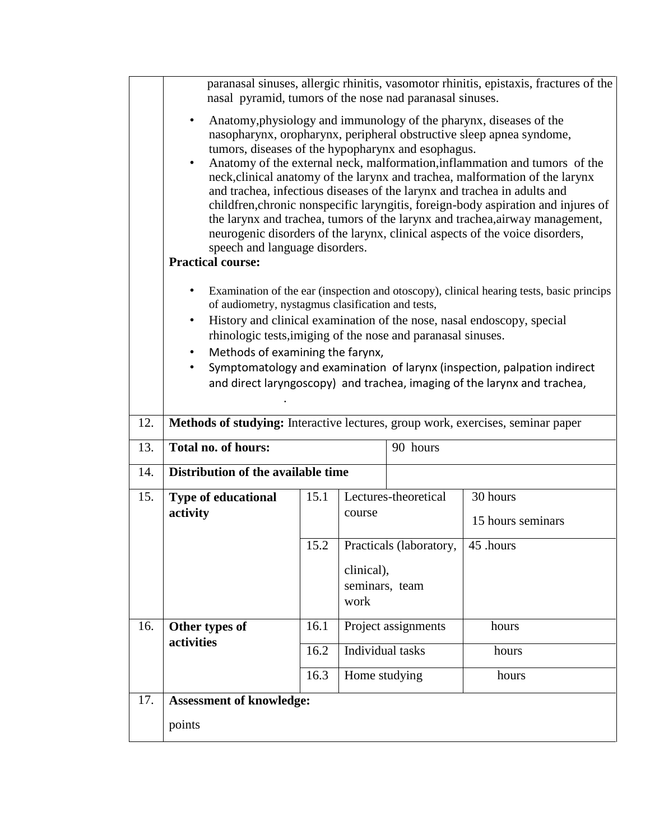|     | paranasal sinuses, allergic rhinitis, vasomotor rhinitis, epistaxis, fractures of the<br>nasal pyramid, tumors of the nose nad paranasal sinuses.                                                                                                                                                                                                                                                                                                                                                                                                                                                                                                                                                                                                                                       |      |                                      |                      |                                                                          |  |  |
|-----|-----------------------------------------------------------------------------------------------------------------------------------------------------------------------------------------------------------------------------------------------------------------------------------------------------------------------------------------------------------------------------------------------------------------------------------------------------------------------------------------------------------------------------------------------------------------------------------------------------------------------------------------------------------------------------------------------------------------------------------------------------------------------------------------|------|--------------------------------------|----------------------|--------------------------------------------------------------------------|--|--|
|     | Anatomy, physiology and immunology of the pharynx, diseases of the<br>$\bullet$<br>nasopharynx, oropharynx, peripheral obstructive sleep apnea syndome,<br>tumors, diseases of the hypopharynx and esophagus.<br>Anatomy of the external neck, malformation, inflammation and tumors of the<br>$\bullet$<br>neck, clinical anatomy of the larynx and trachea, malformation of the larynx<br>and trachea, infectious diseases of the larynx and trachea in adults and<br>childfren, chronic nonspecific laryngitis, foreign-body aspiration and injures of<br>the larynx and trachea, tumors of the larynx and trachea, airway management,<br>neurogenic disorders of the larynx, clinical aspects of the voice disorders,<br>speech and language disorders.<br><b>Practical course:</b> |      |                                      |                      |                                                                          |  |  |
|     | Examination of the ear (inspection and otoscopy), clinical hearing tests, basic princips<br>of audiometry, nystagmus clasification and tests,<br>History and clinical examination of the nose, nasal endoscopy, special<br>٠<br>rhinologic tests, imiging of the nose and paranasal sinuses.                                                                                                                                                                                                                                                                                                                                                                                                                                                                                            |      |                                      |                      |                                                                          |  |  |
|     | Methods of examining the farynx,<br>$\bullet$                                                                                                                                                                                                                                                                                                                                                                                                                                                                                                                                                                                                                                                                                                                                           |      |                                      |                      |                                                                          |  |  |
|     |                                                                                                                                                                                                                                                                                                                                                                                                                                                                                                                                                                                                                                                                                                                                                                                         |      |                                      |                      | Symptomatology and examination of larynx (inspection, palpation indirect |  |  |
|     |                                                                                                                                                                                                                                                                                                                                                                                                                                                                                                                                                                                                                                                                                                                                                                                         |      |                                      |                      | and direct laryngoscopy) and trachea, imaging of the larynx and trachea, |  |  |
| 12. | Methods of studying: Interactive lectures, group work, exercises, seminar paper                                                                                                                                                                                                                                                                                                                                                                                                                                                                                                                                                                                                                                                                                                         |      |                                      |                      |                                                                          |  |  |
| 13. | Total no. of hours:<br>90 hours                                                                                                                                                                                                                                                                                                                                                                                                                                                                                                                                                                                                                                                                                                                                                         |      |                                      |                      |                                                                          |  |  |
| 14. | Distribution of the available time                                                                                                                                                                                                                                                                                                                                                                                                                                                                                                                                                                                                                                                                                                                                                      |      |                                      |                      |                                                                          |  |  |
| 15. | Type of educational                                                                                                                                                                                                                                                                                                                                                                                                                                                                                                                                                                                                                                                                                                                                                                     | 15.1 |                                      | Lectures-theoretical | 30 hours                                                                 |  |  |
|     | activity                                                                                                                                                                                                                                                                                                                                                                                                                                                                                                                                                                                                                                                                                                                                                                                |      | course                               |                      | 15 hours seminars                                                        |  |  |
|     |                                                                                                                                                                                                                                                                                                                                                                                                                                                                                                                                                                                                                                                                                                                                                                                         | 15.2 | Practicals (laboratory,              |                      | 45 .hours                                                                |  |  |
|     |                                                                                                                                                                                                                                                                                                                                                                                                                                                                                                                                                                                                                                                                                                                                                                                         |      | clinical),<br>seminars, team<br>work |                      |                                                                          |  |  |
| 16. | Other types of                                                                                                                                                                                                                                                                                                                                                                                                                                                                                                                                                                                                                                                                                                                                                                          | 16.1 | Project assignments                  |                      | hours                                                                    |  |  |
|     | activities                                                                                                                                                                                                                                                                                                                                                                                                                                                                                                                                                                                                                                                                                                                                                                              | 16.2 | Individual tasks                     |                      | hours                                                                    |  |  |
|     | 16.3                                                                                                                                                                                                                                                                                                                                                                                                                                                                                                                                                                                                                                                                                                                                                                                    |      | Home studying                        |                      | hours                                                                    |  |  |
| 17. | <b>Assessment of knowledge:</b>                                                                                                                                                                                                                                                                                                                                                                                                                                                                                                                                                                                                                                                                                                                                                         |      |                                      |                      |                                                                          |  |  |
|     | points                                                                                                                                                                                                                                                                                                                                                                                                                                                                                                                                                                                                                                                                                                                                                                                  |      |                                      |                      |                                                                          |  |  |
|     |                                                                                                                                                                                                                                                                                                                                                                                                                                                                                                                                                                                                                                                                                                                                                                                         |      |                                      |                      |                                                                          |  |  |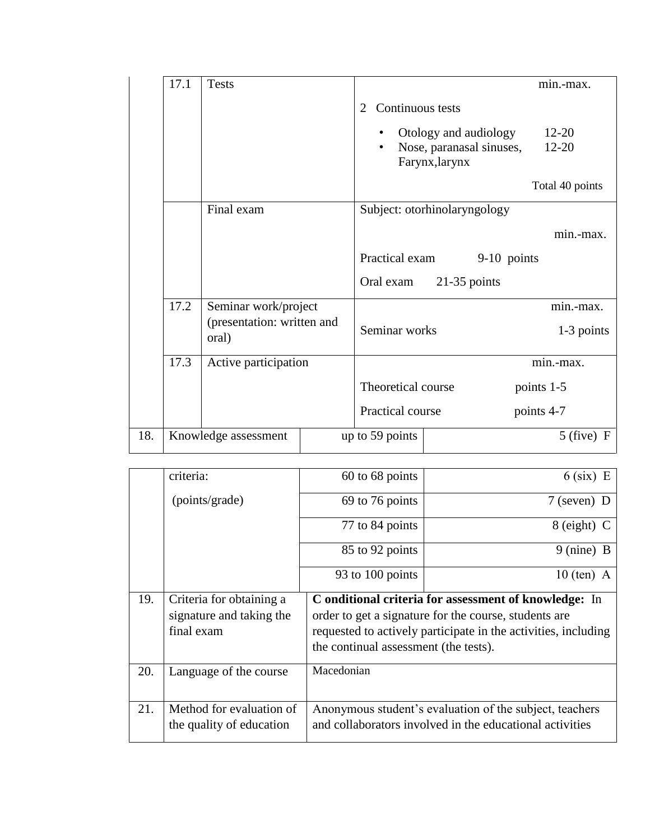|     | 17.1 | <b>Tests</b>                                                |  |                              |                                            |             | min.-max.       |
|-----|------|-------------------------------------------------------------|--|------------------------------|--------------------------------------------|-------------|-----------------|
|     |      |                                                             |  | Continuous tests<br>2        |                                            |             |                 |
|     |      |                                                             |  |                              | Otology and audiology                      |             | $12 - 20$       |
|     |      |                                                             |  | $\bullet$                    | Nose, paranasal sinuses,<br>Farynx, larynx |             | $12 - 20$       |
|     |      |                                                             |  |                              |                                            |             | Total 40 points |
|     |      | Final exam                                                  |  | Subject: otorhinolaryngology |                                            |             |                 |
|     |      |                                                             |  |                              |                                            |             | min.-max.       |
|     |      |                                                             |  | Practical exam               |                                            | 9-10 points |                 |
|     |      |                                                             |  | Oral exam                    | $21-35$ points                             |             |                 |
|     | 17.2 | Seminar work/project                                        |  |                              |                                            |             | min.-max.       |
|     |      | (presentation: written and<br>oral)<br>Active participation |  | Seminar works                |                                            |             | 1-3 points      |
|     | 17.3 |                                                             |  |                              |                                            |             | min.-max.       |
|     |      |                                                             |  | Theoretical course           |                                            |             | points 1-5      |
|     |      |                                                             |  | Practical course             |                                            |             | points 4-7      |
| 18. |      | Knowledge assessment                                        |  | up to 59 points              |                                            |             | $5$ (five) F    |

|     | criteria:                                                          | 60 to 68 points                                                                                                                                                                                                           | $6$ (six) E                                                                                                         |  |  |
|-----|--------------------------------------------------------------------|---------------------------------------------------------------------------------------------------------------------------------------------------------------------------------------------------------------------------|---------------------------------------------------------------------------------------------------------------------|--|--|
|     | (points/grade)                                                     | 69 to 76 points                                                                                                                                                                                                           | $7$ (seven) D                                                                                                       |  |  |
|     |                                                                    | 77 to 84 points                                                                                                                                                                                                           | $8$ (eight) C                                                                                                       |  |  |
|     |                                                                    | 85 to 92 points                                                                                                                                                                                                           | $9 \text{ (nine)} B$                                                                                                |  |  |
|     |                                                                    | 93 to 100 points                                                                                                                                                                                                          | $10$ (ten) A                                                                                                        |  |  |
| 19. | Criteria for obtaining a<br>signature and taking the<br>final exam | C onditional criteria for assessment of knowledge: In<br>order to get a signature for the course, students are<br>requested to actively participate in the activities, including<br>the continual assessment (the tests). |                                                                                                                     |  |  |
| 20. | Language of the course                                             | Macedonian                                                                                                                                                                                                                |                                                                                                                     |  |  |
| 21. | Method for evaluation of<br>the quality of education               |                                                                                                                                                                                                                           | Anonymous student's evaluation of the subject, teachers<br>and collaborators involved in the educational activities |  |  |